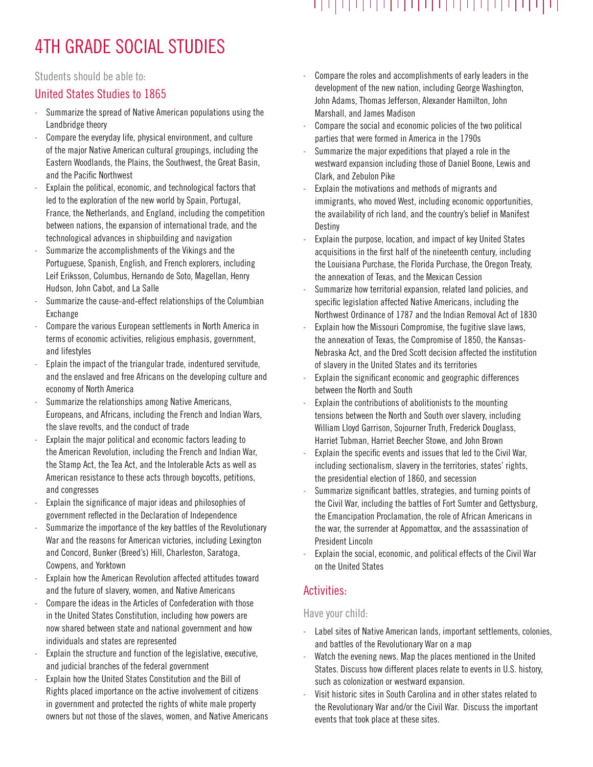# 4TH GRADE SOCIAL STUDIES

Students should be able to:

### United States Studies to 1865

- Summarize the spread of Native American populations using the Landbridge theory
- Compare the everyday life, physical environment, and culture of the major Native American cultural groupings, including the Eastern Woodlands, the Plains, the Southwest, the Great Basin, and the Pacific Northwest
- Explain the political, economic, and technological factors that led to the exploration of the new world by Spain, Portugal, France, the Netherlands, and England, including the competition between nations, the expansion of international trade, and the technological advances in shipbuilding and navigation
- Summarize the accomplishments of the Vikings and the Portuguese, Spanish, English, and French explorers, including Leif Eriksson, Columbus, Hernando de Soto, Magellan, Henry Hudson, John Cabot, and La Salle
- Summarize the cause-and-effect relationships of the Columbian Exchange
- Compare the various European settlements in North America in terms of economic activities, religious emphasis, government, and lifestyles
- Eplain the impact of the triangular trade, indentured servitude, and the enslaved and free Africans on the developing culture and economy of North America
- Summarize the relationships among Native Americans, Europeans, and Africans, including the French and Indian Wars, the slave revolts, and the conduct of trade
- Explain the major political and economic factors leading to the American Revolution, including the French and Indian War, the Stamp Act, the Tea Act, and the Intolerable Acts as well as American resistance to these acts through boycotts, petitions, and congresses
- Explain the significance of major ideas and philosophies of government reflected in the Declaration of Independence
- Summarize the importance of the key battles of the Revolutionary War and the reasons for American victories, including Lexington and Concord, Bunker (Breed's) Hill, Charleston, Saratoga, Cowpens, and Yorktown
- Explain how the American Revolution affected attitudes toward and the future of slavery, women, and Native Americans
- Compare the ideas in the Articles of Confederation with those in the United States Constitution, including how powers are now shared between state and national government and how individuals and states are represented
- Explain the structure and function of the legislative, executive, and judicial branches of the federal government
- Explain how the United States Constitution and the Bill of Rights placed importance on the active involvement of citizens in government and protected the rights of white male property owners but not those of the slaves, women, and Native Americans
- Compare the roles and accomplishments of early leaders in the development of the new nation, including George Washington, John Adams, Thomas Jefferson, Alexander Hamilton, John Marshall, and James Madison
- Compare the social and economic policies of the two political parties that were formed in America in the 1790s
- Summarize the major expeditions that played a role in the westward expansion including those of Daniel Boone, Lewis and Clark, and Zebulon Pike
- Explain the motivations and methods of migrants and immigrants, who moved West, including economic opportunities, the availability of rich land, and the country's belief in Manifest Destiny
- Explain the purpose, location, and impact of key United States acquisitions in the first half of the nineteenth century, including the Louisiana Purchase, the Florida Purchase, the Oregon Treaty, the annexation of Texas, and the Mexican Cession
- Summarize how territorial expansion, related land policies, and specific legislation affected Native Americans, including the Northwest Ordinance of 1787 and the Indian Removal Act of 1830
- Explain how the Missouri Compromise, the fugitive slave laws, the annexation of Texas, the Compromise of 1850, the Kansas-Nebraska Act, and the Dred Scott decision affected the institution of slavery in the United States and its territories
- Explain the significant economic and geographic differences between the North and South
- Explain the contributions of abolitionists to the mounting tensions between the North and South over slavery, including William Lloyd Garrison, Sojourner Truth, Frederick Douglass, Harriet Tubman, Harriet Beecher Stowe, and John Brown
- Explain the specific events and issues that led to the Civil War, including sectionalism, slavery in the territories, states' rights, the presidential election of 1860, and secession
- Summarize significant battles, strategies, and turning points of the Civil War, including the battles of Fort Sumter and Gettysburg, the Emancipation Proclamation, the role of African Americans in the war, the surrender at Appomattox, and the assassination of President Lincoln
- Explain the social, economic, and political effects of the Civil War on the United States

## Activities:

#### Have your child:

- Label sites of Native American lands, important settlements, colonies, and battles of the Revolutionary War on a map
- Watch the evening news. Map the places mentioned in the United States. Discuss how different places relate to events in U.S. history, such as colonization or westward expansion.
- Visit historic sites in South Carolina and in other states related to the Revolutionary War and/or the Civil War. Discuss the important events that took place at these sites.